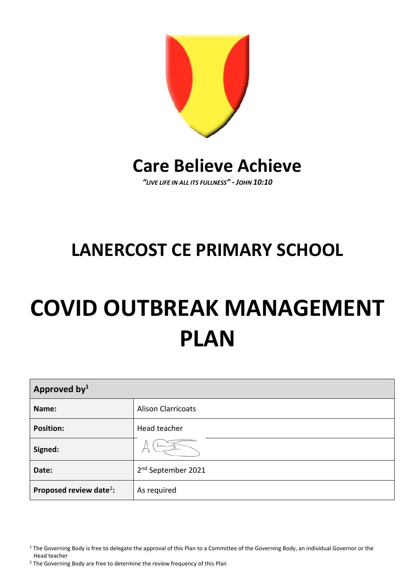

# **Care Believe Achieve**

*"LIVE LIFE IN ALL ITS FULLNESS" - JOHN 10:10*

# **LANERCOST CE PRIMARY SCHOOL**

# **COVID OUTBREAK MANAGEMENT PLAN**

| Approved by <sup>1</sup>            |                                |  |
|-------------------------------------|--------------------------------|--|
| Name:                               | <b>Alison Clarricoats</b>      |  |
| <b>Position:</b>                    | Head teacher                   |  |
| Signed:                             |                                |  |
| Date:                               | 2 <sup>nd</sup> September 2021 |  |
| Proposed review date <sup>2</sup> : | As required                    |  |

<sup>&</sup>lt;sup>1</sup> The Governing Body is free to delegate the approval of this Plan to a Committee of the Governing Body, an individual Governor or the Head teacher

<sup>&</sup>lt;sup>2</sup> The Governing Body are free to determine the review frequency of this Plan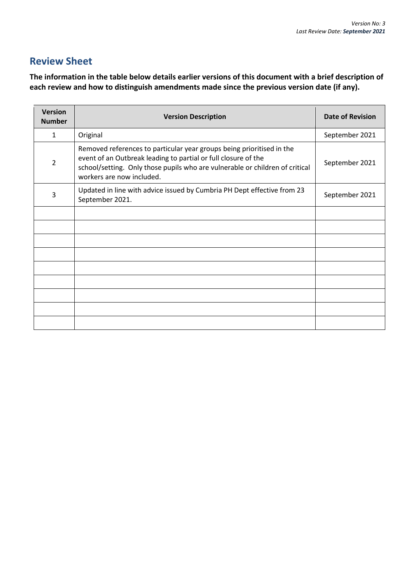# **Review Sheet**

**The information in the table below details earlier versions of this document with a brief description of each review and how to distinguish amendments made since the previous version date (if any).**

| <b>Version</b><br><b>Number</b> | <b>Version Description</b>                                                                                                                                                                                                                           | <b>Date of Revision</b> |
|---------------------------------|------------------------------------------------------------------------------------------------------------------------------------------------------------------------------------------------------------------------------------------------------|-------------------------|
| 1                               | Original                                                                                                                                                                                                                                             | September 2021          |
| $\overline{2}$                  | Removed references to particular year groups being prioritised in the<br>event of an Outbreak leading to partial or full closure of the<br>school/setting. Only those pupils who are vulnerable or children of critical<br>workers are now included. | September 2021          |
| 3                               | Updated in line with advice issued by Cumbria PH Dept effective from 23<br>September 2021.                                                                                                                                                           | September 2021          |
|                                 |                                                                                                                                                                                                                                                      |                         |
|                                 |                                                                                                                                                                                                                                                      |                         |
|                                 |                                                                                                                                                                                                                                                      |                         |
|                                 |                                                                                                                                                                                                                                                      |                         |
|                                 |                                                                                                                                                                                                                                                      |                         |
|                                 |                                                                                                                                                                                                                                                      |                         |
|                                 |                                                                                                                                                                                                                                                      |                         |
|                                 |                                                                                                                                                                                                                                                      |                         |
|                                 |                                                                                                                                                                                                                                                      |                         |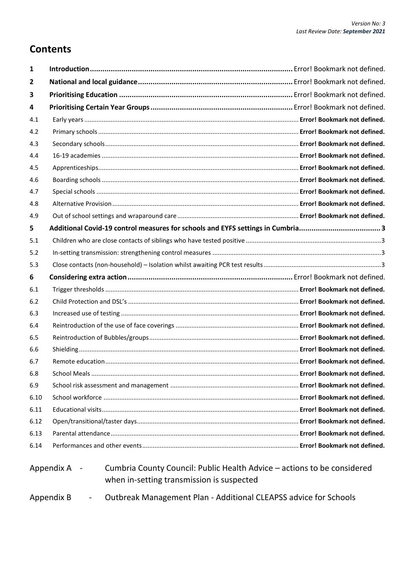# **Contents**

| 1                                                                                                                                    |                                                                                |  |
|--------------------------------------------------------------------------------------------------------------------------------------|--------------------------------------------------------------------------------|--|
| 2                                                                                                                                    |                                                                                |  |
| 3                                                                                                                                    |                                                                                |  |
| 4                                                                                                                                    |                                                                                |  |
| 4.1                                                                                                                                  |                                                                                |  |
| 4.2                                                                                                                                  |                                                                                |  |
| 4.3                                                                                                                                  |                                                                                |  |
| 4.4                                                                                                                                  |                                                                                |  |
| 4.5                                                                                                                                  |                                                                                |  |
| 4.6                                                                                                                                  |                                                                                |  |
| 4.7                                                                                                                                  |                                                                                |  |
| 4.8                                                                                                                                  |                                                                                |  |
| 4.9                                                                                                                                  |                                                                                |  |
| 5                                                                                                                                    | Additional Covid-19 control measures for schools and EYFS settings in Cumbria3 |  |
| 5.1                                                                                                                                  |                                                                                |  |
| 5.2                                                                                                                                  |                                                                                |  |
| 5.3                                                                                                                                  |                                                                                |  |
| 6                                                                                                                                    |                                                                                |  |
| 6.1                                                                                                                                  |                                                                                |  |
| 6.2                                                                                                                                  |                                                                                |  |
| 6.3                                                                                                                                  |                                                                                |  |
| 6.4                                                                                                                                  |                                                                                |  |
| 6.5                                                                                                                                  |                                                                                |  |
| 6.6                                                                                                                                  |                                                                                |  |
| 6.7                                                                                                                                  |                                                                                |  |
| 6.8                                                                                                                                  |                                                                                |  |
| 6.9                                                                                                                                  |                                                                                |  |
| 6.10                                                                                                                                 |                                                                                |  |
| 6.11                                                                                                                                 |                                                                                |  |
| 6.12                                                                                                                                 |                                                                                |  |
| 6.13                                                                                                                                 |                                                                                |  |
| 6.14                                                                                                                                 |                                                                                |  |
| Cumbria County Council: Public Health Advice – actions to be considered<br>Appendix A -<br>when in-setting transmission is suspected |                                                                                |  |

Appendix B - Outbreak Management Plan - Additional CLEAPSS advice for Schools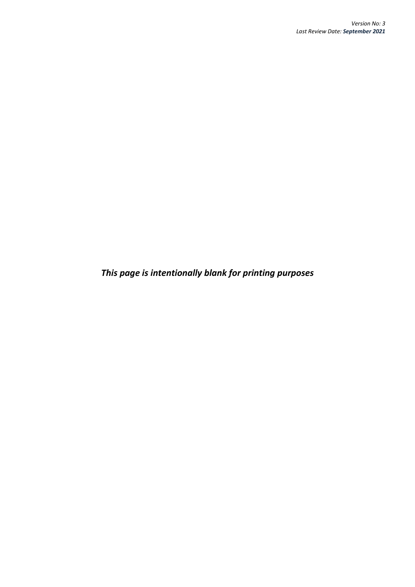*This page is intentionally blank for printing purposes*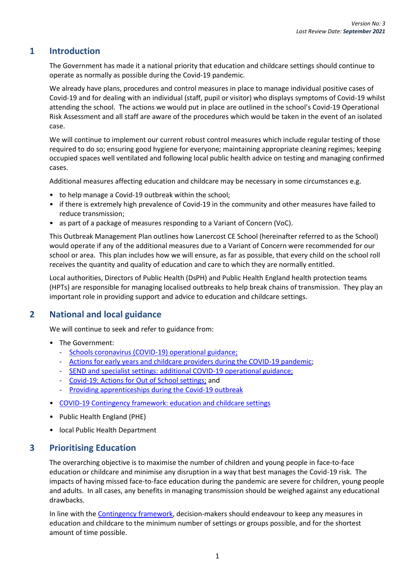### **1 Introduction**

The Government has made it a national priority that education and childcare settings should continue to operate as normally as possible during the Covid-19 pandemic.

We already have plans, procedures and control measures in place to manage individual positive cases of Covid-19 and for dealing with an individual (staff, pupil or visitor) who displays symptoms of Covid-19 whilst attending the school. The actions we would put in place are outlined in the school's Covid-19 Operational Risk Assessment and all staff are aware of the procedures which would be taken in the event of an isolated case.

We will continue to implement our current robust control measures which include regular testing of those required to do so; ensuring good hygiene for everyone; maintaining appropriate cleaning regimes; keeping occupied spaces well ventilated and following local public health advice on testing and managing confirmed cases.

Additional measures affecting education and childcare may be necessary in some circumstances e.g.

- to help manage a Covid-19 outbreak within the school;
- if there is extremely high prevalence of Covid-19 in the community and other measures have failed to reduce transmission;
- as part of a package of measures responding to a Variant of Concern (VoC).

This Outbreak Management Plan outlines how Lanercost CE School (hereinafter referred to as the School) would operate if any of the additional measures due to a Variant of Concern were recommended for our school or area. This plan includes how we will ensure, as far as possible, that every child on the school roll receives the quantity and quality of education and care to which they are normally entitled.

Local authorities, Directors of Public Health (DsPH) and Public Health England health protection teams (HPTs) are responsible for managing localised outbreaks to help break chains of transmission. They play an important role in providing support and advice to education and childcare settings.

# **2 National and local guidance**

We will continue to seek and refer to guidance from:

- The Government:
	- [Schools coronavirus \(COVID-19\) operational guidance;](https://www.gov.uk/government/publications/actions-for-schools-during-the-coronavirus-outbreak/schools-covid-19-operational-guidance)
	- [Actions for early years and childcare providers during the COVID-19 pandemic;](https://www.gov.uk/government/publications/coronavirus-covid-19-early-years-and-childcare-closures/actions-for-early-years-and-childcare-providers-during-the-covid-19-pandemic)
	- [SEND and specialist settings: additional COVID-19 operational guidance;](https://www.gov.uk/government/publications/guidance-for-full-opening-special-schools-and-other-specialist-settings/send-and-specialist-settings-additional-covid-19-operational-guidance-applies-after-step-4)
	- [Covid-19: Actions for Out of School settings;](https://www.gov.uk/government/publications/protective-measures-for-holiday-or-after-school-clubs-and-other-out-of-school-settings-for-children-during-the-coronavirus-covid-19-outbreak/covid-19-actions-for-out-of-school-settings) and
	- [Providing apprenticeships during the Covid-19 outbreak](https://www.gov.uk/government/publications/coronavirus-covid-19-apprenticeship-programme-response)
- [COVID-19 Contingency framework: education and childcare settings](https://assets.publishing.service.gov.uk/government/uploads/system/uploads/attachment_data/file/1011704/20210817_Contingency_Framework_FINAL.pdf)
- Public Health England (PHE)
- local Public Health Department

#### **3 Prioritising Education**

The overarching objective is to maximise the number of children and young people in face-to-face education or childcare and minimise any disruption in a way that best manages the Covid-19 risk. The impacts of having missed face-to-face education during the pandemic are severe for children, young people and adults. In all cases, any benefits in managing transmission should be weighed against any educational drawbacks.

In line with th[e Contingency framework,](https://assets.publishing.service.gov.uk/government/uploads/system/uploads/attachment_data/file/1011704/20210817_Contingency_Framework_FINAL.pdf) decision-makers should endeavour to keep any measures in education and childcare to the minimum number of settings or groups possible, and for the shortest amount of time possible.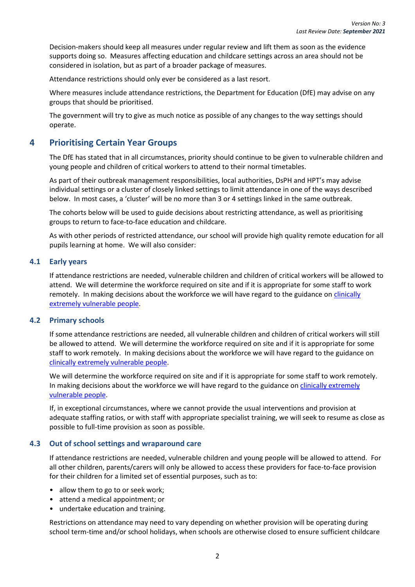Decision-makers should keep all measures under regular review and lift them as soon as the evidence supports doing so. Measures affecting education and childcare settings across an area should not be considered in isolation, but as part of a broader package of measures.

Attendance restrictions should only ever be considered as a last resort.

Where measures include attendance restrictions, the Department for Education (DfE) may advise on any groups that should be prioritised.

The government will try to give as much notice as possible of any changes to the way settings should operate.

#### **4 Prioritising Certain Year Groups**

The DfE has stated that in all circumstances, priority should continue to be given to vulnerable children and young people and children of critical workers to attend to their normal timetables.

As part of their outbreak management responsibilities, local authorities, DsPH and HPT's may advise individual settings or a cluster of closely linked settings to limit attendance in one of the ways described below. In most cases, a 'cluster' will be no more than 3 or 4 settings linked in the same outbreak.

The cohorts below will be used to guide decisions about restricting attendance, as well as prioritising groups to return to face-to-face education and childcare.

As with other periods of restricted attendance, our school will provide high quality remote education for all pupils learning at home. We will also consider:

#### **4.1 Early years**

If attendance restrictions are needed, vulnerable children and children of critical workers will be allowed to attend. We will determine the workforce required on site and if it is appropriate for some staff to work remotely. In making decisions about the workforce we will have regard to the guidance on clinically [extremely vulnerable people.](https://www.gov.uk/government/publications/guidance-on-shielding-and-protecting-extremely-vulnerable-persons-from-covid-19/guidance-on-shielding-and-protecting-extremely-vulnerable-persons-from-covid-19)

#### **4.2 Primary schools**

If some attendance restrictions are needed, all vulnerable children and children of critical workers will still be allowed to attend. We will determine the workforce required on site and if it is appropriate for some staff to work remotely. In making decisions about the workforce we will have regard to the guidance on [clinically extremely vulnerable people.](https://www.gov.uk/government/publications/guidance-on-shielding-and-protecting-extremely-vulnerable-persons-from-covid-19/guidance-on-shielding-and-protecting-extremely-vulnerable-persons-from-covid-19)

We will determine the workforce required on site and if it is appropriate for some staff to work remotely. In making decisions about the workforce we will have regard to the guidance on [clinically extremely](https://www.gov.uk/government/publications/guidance-on-shielding-and-protecting-extremely-vulnerable-persons-from-covid-19/guidance-on-shielding-and-protecting-extremely-vulnerable-persons-from-covid-19)  [vulnerable people.](https://www.gov.uk/government/publications/guidance-on-shielding-and-protecting-extremely-vulnerable-persons-from-covid-19/guidance-on-shielding-and-protecting-extremely-vulnerable-persons-from-covid-19)

If, in exceptional circumstances, where we cannot provide the usual interventions and provision at adequate staffing ratios, or with staff with appropriate specialist training, we will seek to resume as close as possible to full-time provision as soon as possible.

#### **4.3 Out of school settings and wraparound care**

If attendance restrictions are needed, vulnerable children and young people will be allowed to attend. For all other children, parents/carers will only be allowed to access these providers for face-to-face provision for their children for a limited set of essential purposes, such as to:

- allow them to go to or seek work;
- attend a medical appointment; or
- undertake education and training.

Restrictions on attendance may need to vary depending on whether provision will be operating during school term-time and/or school holidays, when schools are otherwise closed to ensure sufficient childcare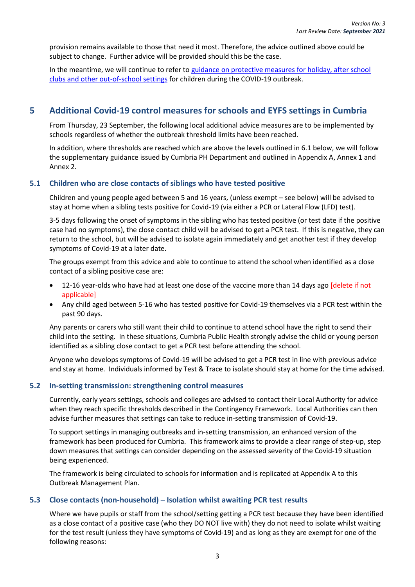provision remains available to those that need it most. Therefore, the advice outlined above could be subject to change. Further advice will be provided should this be the case.

In the meantime, we will continue to refer to guidance on protective measures for holiday, after school [clubs and other out-of-school settings](https://www.gov.uk/government/publications/protective-measures-for-holiday-or-after-school-clubs-and-other-out-of-school-settings-for-children-during-the-coronavirus-covid-19-outbreak/covid-19-actions-for-out-of-school-settings) for children during the COVID-19 outbreak.

## <span id="page-6-0"></span>**5 Additional Covid-19 control measures for schools and EYFS settings in Cumbria**

From Thursday, 23 September, the following local additional advice measures are to be implemented by schools regardless of whether the outbreak threshold limits have been reached.

In addition, where thresholds are reached which are above the levels outlined in 6.1 below, we will follow the supplementary guidance issued by Cumbria PH Department and outlined in Appendix A, Annex 1 and Annex 2.

#### <span id="page-6-1"></span>**5.1 Children who are close contacts of siblings who have tested positive**

Children and young people aged between 5 and 16 years, (unless exempt – see below) will be advised to stay at home when a sibling tests positive for Covid-19 (via either a PCR or Lateral Flow (LFD) test).

3-5 days following the onset of symptoms in the sibling who has tested positive (or test date if the positive case had no symptoms), the close contact child will be advised to get a PCR test. If this is negative, they can return to the school, but will be advised to isolate again immediately and get another test if they develop symptoms of Covid-19 at a later date.

The groups exempt from this advice and able to continue to attend the school when identified as a close contact of a sibling positive case are:

- 12-16 year-olds who have had at least one dose of the vaccine more than 14 days ago [delete if not applicable]
- Any child aged between 5-16 who has tested positive for Covid-19 themselves via a PCR test within the past 90 days.

Any parents or carers who still want their child to continue to attend school have the right to send their child into the setting. In these situations, Cumbria Public Health strongly advise the child or young person identified as a sibling close contact to get a PCR test before attending the school.

Anyone who develops symptoms of Covid-19 will be advised to get a PCR test in line with previous advice and stay at home. Individuals informed by Test & Trace to isolate should stay at home for the time advised.

#### <span id="page-6-2"></span>**5.2 In-setting transmission: strengthening control measures**

Currently, early years settings, schools and colleges are advised to contact their Local Authority for advice when they reach specific thresholds described in the Contingency Framework. Local Authorities can then advise further measures that settings can take to reduce in-setting transmission of Covid-19.

To support settings in managing outbreaks and in-setting transmission, an enhanced version of the framework has been produced for Cumbria. This framework aims to provide a clear range of step-up, step down measures that settings can consider depending on the assessed severity of the Covid-19 situation being experienced.

The framework is being circulated to schools for information and is replicated at Appendix A to this Outbreak Management Plan.

#### <span id="page-6-3"></span>**5.3 Close contacts (non-household) – Isolation whilst awaiting PCR test results**

Where we have pupils or staff from the school/setting getting a PCR test because they have been identified as a close contact of a positive case (who they DO NOT live with) they do not need to isolate whilst waiting for the test result (unless they have symptoms of Covid-19) and as long as they are exempt for one of the following reasons: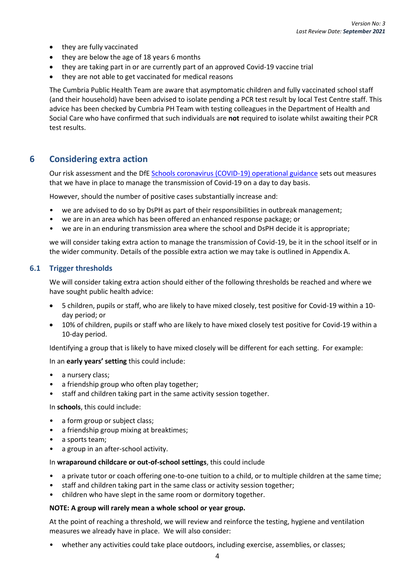- they are fully vaccinated
- they are below the age of 18 years 6 months
- they are taking part in or are currently part of an approved Covid-19 vaccine trial
- they are not able to get vaccinated for medical reasons

The Cumbria Public Health Team are aware that asymptomatic children and fully vaccinated school staff (and their household) have been advised to isolate pending a PCR test result by local Test Centre staff. This advice has been checked by Cumbria PH Team with testing colleagues in the Department of Health and Social Care who have confirmed that such individuals are **not** required to isolate whilst awaiting their PCR test results.

#### **6 Considering extra action**

Our risk assessment and the DfE [Schools coronavirus \(COVID-19\) operational guidance](https://www.gov.uk/government/publications/actions-for-schools-during-the-coronavirus-outbreak/schools-covid-19-operational-guidance) sets out measures that we have in place to manage the transmission of Covid-19 on a day to day basis.

However, should the number of positive cases substantially increase and:

- we are advised to do so by DsPH as part of their responsibilities in outbreak management;
- we are in an area which has been offered an enhanced response package; or
- we are in an enduring transmission area where the school and DsPH decide it is appropriate;

we will consider taking extra action to manage the transmission of Covid-19, be it in the school itself or in the wider community. Details of the possible extra action we may take is outlined in Appendix A.

#### **6.1 Trigger thresholds**

We will consider taking extra action should either of the following thresholds be reached and where we have sought public health advice:

- 5 children, pupils or staff, who are likely to have mixed closely, test positive for Covid-19 within a 10 day period; or
- 10% of children, pupils or staff who are likely to have mixed closely test positive for Covid-19 within a 10-day period.

Identifying a group that is likely to have mixed closely will be different for each setting. For example:

#### In an **early years' setting** this could include:

- a nursery class;
- a friendship group who often play together;
- staff and children taking part in the same activity session together.

#### In **schools**, this could include:

- a form group or subject class;
- a friendship group mixing at breaktimes;
- a sports team:
- a group in an after-school activity.

#### In **wraparound childcare or out-of-school settings**, this could include

- a private tutor or coach offering one-to-one tuition to a child, or to multiple children at the same time;
- staff and children taking part in the same class or activity session together;
- children who have slept in the same room or dormitory together.

#### **NOTE: A group will rarely mean a whole school or year group.**

At the point of reaching a threshold, we will review and reinforce the testing, hygiene and ventilation measures we already have in place. We will also consider:

whether any activities could take place outdoors, including exercise, assemblies, or classes;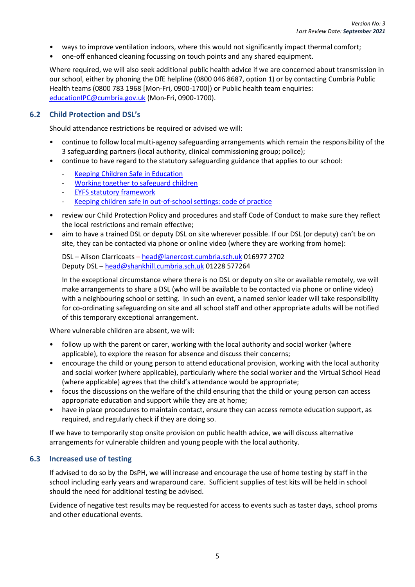- ways to improve ventilation indoors, where this would not significantly impact thermal comfort;
- one-off enhanced cleaning focussing on touch points and any shared equipment.

Where required, we will also seek additional public health advice if we are concerned about transmission in our school, either by phoning the DfE helpline (0800 046 8687, option 1) or by contacting Cumbria Public Health teams (0800 783 1968 [Mon-Fri, 0900-1700]) or Public health team enquiries: [educationIPC@cumbria.gov.uk](mailto:educationIPC@cumbria.gov.uk) (Mon-Fri, 0900-1700).

#### **6.2 Child Protection and DSL's**

Should attendance restrictions be required or advised we will:

- continue to follow local multi-agency safeguarding arrangements which remain the responsibility of the 3 safeguarding partners (local authority, clinical commissioning group; police);
- continue to have regard to the statutory safeguarding guidance that applies to our school:
	- [Keeping Children Safe in Education](https://www.gov.uk/government/publications/keeping-children-safe-in-education--2)
	- [Working together to safeguard children](https://www.gov.uk/government/publications/working-together-to-safeguard-children--2)
	- EYFS [statutory framework](https://assets.publishing.service.gov.uk/government/uploads/system/uploads/attachment_data/file/974907/EYFS_framework_-_March_2021.pdf)
	- [Keeping children safe in out-of-school settings: code of practice](https://assets.publishing.service.gov.uk/government/uploads/system/uploads/attachment_data/file/940872/Keeping_children_safe_code_of_practice.pdf)
- review our Child Protection Policy and procedures and staff Code of Conduct to make sure they reflect the local restrictions and remain effective;
- aim to have a trained DSL or deputy DSL on site wherever possible. If our DSL (or deputy) can't be on site, they can be contacted via phone or online video (where they are working from home):

DSL – Alison Clarricoats – [head@lanercost.cumbria.sch.uk](mailto:head@lanercost.cumbria.sch.uk) 016977 2702 Deputy DSL – [head@shankhill.cumbria.sch.uk](mailto:head@shankhill.cumbria.sch.uk) 01228 577264

In the exceptional circumstance where there is no DSL or deputy on site or available remotely, we will make arrangements to share a DSL (who will be available to be contacted via phone or online video) with a neighbouring school or setting. In such an event, a named senior leader will take responsibility for co-ordinating safeguarding on site and all school staff and other appropriate adults will be notified of this temporary exceptional arrangement.

Where vulnerable children are absent, we will:

- follow up with the parent or carer, working with the local authority and social worker (where applicable), to explore the reason for absence and discuss their concerns;
- encourage the child or young person to attend educational provision, working with the local authority and social worker (where applicable), particularly where the social worker and the Virtual School Head (where applicable) agrees that the child's attendance would be appropriate;
- focus the discussions on the welfare of the child ensuring that the child or young person can access appropriate education and support while they are at home;
- have in place procedures to maintain contact, ensure they can access remote education support, as required, and regularly check if they are doing so.

If we have to temporarily stop onsite provision on public health advice, we will discuss alternative arrangements for vulnerable children and young people with the local authority.

#### **6.3 Increased use of testing**

If advised to do so by the DsPH, we will increase and encourage the use of home testing by staff in the school including early years and wraparound care. Sufficient supplies of test kits will be held in school should the need for additional testing be advised.

Evidence of negative test results may be requested for access to events such as taster days, school proms and other educational events.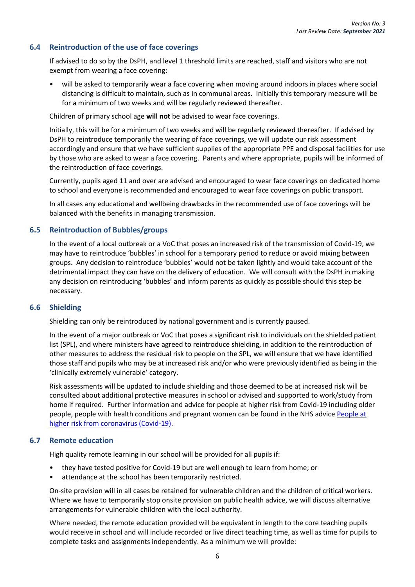#### **6.4 Reintroduction of the use of face coverings**

If advised to do so by the DsPH, and level 1 threshold limits are reached, staff and visitors who are not exempt from wearing a face covering:

• will be asked to temporarily wear a face covering when moving around indoors in places where social distancing is difficult to maintain, such as in communal areas. Initially this temporary measure will be for a minimum of two weeks and will be regularly reviewed thereafter.

Children of primary school age **will not** be advised to wear face coverings.

Initially, this will be for a minimum of two weeks and will be regularly reviewed thereafter. If advised by DsPH to reintroduce temporarily the wearing of face coverings, we will update our risk assessment accordingly and ensure that we have sufficient supplies of the appropriate PPE and disposal facilities for use by those who are asked to wear a face covering. Parents and where appropriate, pupils will be informed of the reintroduction of face coverings.

Currently, pupils aged 11 and over are advised and encouraged to wear face coverings on dedicated home to school and everyone is recommended and encouraged to wear face coverings on public transport.

In all cases any educational and wellbeing drawbacks in the recommended use of face coverings will be balanced with the benefits in managing transmission.

#### **6.5 Reintroduction of Bubbles/groups**

In the event of a local outbreak or a VoC that poses an increased risk of the transmission of Covid-19, we may have to reintroduce 'bubbles' in school for a temporary period to reduce or avoid mixing between groups. Any decision to reintroduce 'bubbles' would not be taken lightly and would take account of the detrimental impact they can have on the delivery of education. We will consult with the DsPH in making any decision on reintroducing 'bubbles' and inform parents as quickly as possible should this step be necessary.

#### **6.6 Shielding**

Shielding can only be reintroduced by national government and is currently paused.

In the event of a major outbreak or VoC that poses a significant risk to individuals on the shielded patient list (SPL), and where ministers have agreed to reintroduce shielding, in addition to the reintroduction of other measures to address the residual risk to people on the SPL, we will ensure that we have identified those staff and pupils who may be at increased risk and/or who were previously identified as being in the 'clinically extremely vulnerable' category.

Risk assessments will be updated to include shielding and those deemed to be at increased risk will be consulted about additional protective measures in school or advised and supported to work/study from home if required. Further information and advice for people at higher risk from Covid-19 including older people, people with health conditions and pregnant women can be found in the NHS advice [People at](https://www.nhs.uk/conditions/coronavirus-covid-19/people-at-higher-risk/)  [higher risk from coronavirus \(Covid-19\).](https://www.nhs.uk/conditions/coronavirus-covid-19/people-at-higher-risk/)

#### **6.7 Remote education**

High quality remote learning in our school will be provided for all pupils if:

- they have tested positive for Covid-19 but are well enough to learn from home; or
- attendance at the school has been temporarily restricted.

On-site provision will in all cases be retained for vulnerable children and the children of critical workers. Where we have to temporarily stop onsite provision on public health advice, we will discuss alternative arrangements for vulnerable children with the local authority.

Where needed, the remote education provided will be equivalent in length to the core teaching pupils would receive in school and will include recorded or live direct teaching time, as well as time for pupils to complete tasks and assignments independently. As a minimum we will provide: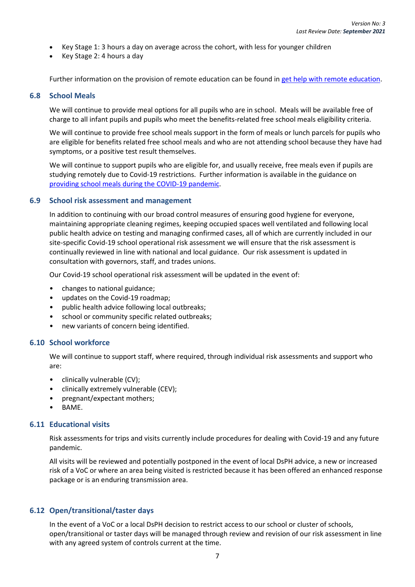- Key Stage 1: 3 hours a day on average across the cohort, with less for younger children
- Key Stage 2: 4 hours a day

Further information on the provision of remote education can be found in [get help with remote education.](https://get-help-with-remote-education.education.gov.uk/statutory-obligations.html)

#### **6.8 School Meals**

We will continue to provide meal options for all pupils who are in school. Meals will be available free of charge to all infant pupils and pupils who meet the benefits-related free school meals eligibility criteria.

We will continue to provide free school meals support in the form of meals or lunch parcels for pupils who are eligible for benefits related free school meals and who are not attending school because they have had symptoms, or a positive test result themselves.

We will continue to support pupils who are eligible for, and usually receive, free meals even if pupils are studying remotely due to Covid-19 restrictions. Further information is available in the guidance on [providing school meals during the COVID-19 pandemic.](https://www.gov.uk/government/publications/covid-19-free-school-meals-guidance/covid-19-free-school-meals-guidance-for-schools)

#### **6.9 School risk assessment and management**

In addition to continuing with our broad control measures of ensuring good hygiene for everyone, maintaining appropriate cleaning regimes, keeping occupied spaces well ventilated and following local public health advice on testing and managing confirmed cases, all of which are currently included in our site-specific Covid-19 school operational risk assessment we will ensure that the risk assessment is continually reviewed in line with national and local guidance. Our risk assessment is updated in consultation with governors, staff, and trades unions.

Our Covid-19 school operational risk assessment will be updated in the event of:

- changes to national guidance;
- updates on the Covid-19 roadmap;
- public health advice following local outbreaks;
- school or community specific related outbreaks;
- new variants of concern being identified.

#### **6.10 School workforce**

We will continue to support staff, where required, through individual risk assessments and support who are:

- clinically vulnerable (CV);
- clinically extremely vulnerable (CEV);
- pregnant/expectant mothers;
- BAME.

#### **6.11 Educational visits**

Risk assessments for trips and visits currently include procedures for dealing with Covid-19 and any future pandemic.

All visits will be reviewed and potentially postponed in the event of local DsPH advice, a new or increased risk of a VoC or where an area being visited is restricted because it has been offered an enhanced response package or is an enduring transmission area.

#### **6.12 Open/transitional/taster days**

In the event of a VoC or a local DsPH decision to restrict access to our school or cluster of schools, open/transitional or taster days will be managed through review and revision of our risk assessment in line with any agreed system of controls current at the time.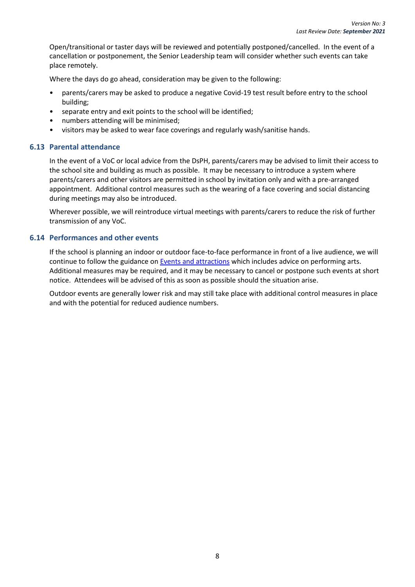Open/transitional or taster days will be reviewed and potentially postponed/cancelled. In the event of a cancellation or postponement, the Senior Leadership team will consider whether such events can take place remotely.

Where the days do go ahead, consideration may be given to the following:

- parents/carers may be asked to produce a negative Covid-19 test result before entry to the school building;
- separate entry and exit points to the school will be identified;
- numbers attending will be minimised;
- visitors may be asked to wear face coverings and regularly wash/sanitise hands.

#### **6.13 Parental attendance**

In the event of a VoC or local advice from the DsPH, parents/carers may be advised to limit their access to the school site and building as much as possible. It may be necessary to introduce a system where parents/carers and other visitors are permitted in school by invitation only and with a pre-arranged appointment. Additional control measures such as the wearing of a face covering and social distancing during meetings may also be introduced.

Wherever possible, we will reintroduce virtual meetings with parents/carers to reduce the risk of further transmission of any VoC.

#### **6.14 Performances and other events**

If the school is planning an indoor or outdoor face-to-face performance in front of a live audience, we will continue to follow the guidance o[n Events and attractions](https://www.gov.uk/guidance/working-safely-during-covid-19/events-and-attractions) which includes advice on performing arts. Additional measures may be required, and it may be necessary to cancel or postpone such events at short notice. Attendees will be advised of this as soon as possible should the situation arise.

Outdoor events are generally lower risk and may still take place with additional control measures in place and with the potential for reduced audience numbers.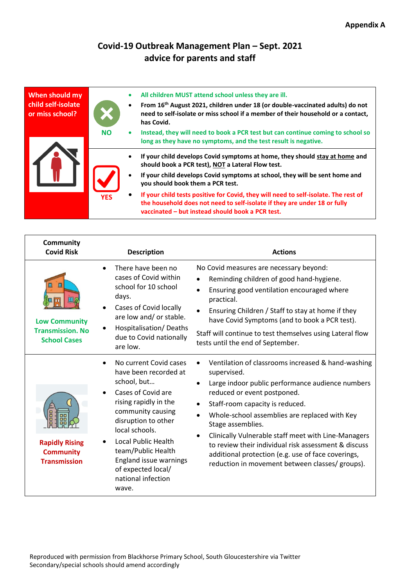# **Covid-19 Outbreak Management Plan – Sept. 2021 advice for parents and staff**

| When should my<br>child self-isolate<br>or miss school? |            | ٠<br>$\bullet$ | All children MUST attend school unless they are ill.<br>From 16 <sup>th</sup> August 2021, children under 18 (or double-vaccinated adults) do not<br>need to self-isolate or miss school if a member of their household or a contact,<br>has Covid. |
|---------------------------------------------------------|------------|----------------|-----------------------------------------------------------------------------------------------------------------------------------------------------------------------------------------------------------------------------------------------------|
|                                                         | <b>NO</b>  | $\bullet$      | Instead, they will need to book a PCR test but can continue coming to school so<br>long as they have no symptoms, and the test result is negative.                                                                                                  |
|                                                         |            |                | If your child develops Covid symptoms at home, they should stay at home and<br>should book a PCR test), NOT a Lateral Flow test.                                                                                                                    |
|                                                         |            | ٠              | If your child develops Covid symptoms at school, they will be sent home and<br>you should book them a PCR test.                                                                                                                                     |
|                                                         | <b>YES</b> | $\bullet$      | If your child tests positive for Covid, they will need to self-isolate. The rest of<br>the household does not need to self-isolate if they are under 18 or fully<br>vaccinated - but instead should book a PCR test.                                |

 $\Gamma$ 

| <b>Community</b><br><b>Covid Risk</b>                                                  | <b>Description</b>                                                                                                                                                                                                                                                                                      | <b>Actions</b>                                                                                                                                                                                                                                                                                                                                                                                                                                                                        |
|----------------------------------------------------------------------------------------|---------------------------------------------------------------------------------------------------------------------------------------------------------------------------------------------------------------------------------------------------------------------------------------------------------|---------------------------------------------------------------------------------------------------------------------------------------------------------------------------------------------------------------------------------------------------------------------------------------------------------------------------------------------------------------------------------------------------------------------------------------------------------------------------------------|
| $\mathbf{m}$<br><b>Low Community</b><br><b>Transmission. No</b><br><b>School Cases</b> | There have been no<br>cases of Covid within<br>school for 10 school<br>days.<br>Cases of Covid locally<br>are low and/ or stable.<br>Hospitalisation/Deaths<br>due to Covid nationally<br>are low.                                                                                                      | No Covid measures are necessary beyond:<br>Reminding children of good hand-hygiene.<br>Ensuring good ventilation encouraged where<br>practical.<br>Ensuring Children / Staff to stay at home if they<br>have Covid Symptoms (and to book a PCR test).<br>Staff will continue to test themselves using Lateral flow<br>tests until the end of September.                                                                                                                               |
| <b>Rapidly Rising</b><br><b>Community</b><br><b>Transmission</b>                       | No current Covid cases<br>have been recorded at<br>school, but<br>Cases of Covid are<br>rising rapidly in the<br>community causing<br>disruption to other<br>local schools.<br>Local Public Health<br>team/Public Health<br>England issue warnings<br>of expected local/<br>national infection<br>wave. | Ventilation of classrooms increased & hand-washing<br>supervised.<br>Large indoor public performance audience numbers<br>reduced or event postponed.<br>Staff-room capacity is reduced.<br>Whole-school assemblies are replaced with Key<br>Stage assemblies.<br>Clinically Vulnerable staff meet with Line-Managers<br>to review their individual risk assessment & discuss<br>additional protection (e.g. use of face coverings,<br>reduction in movement between classes/ groups). |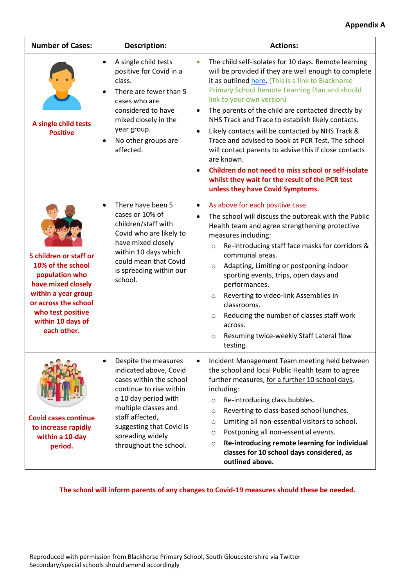| <b>Number of Cases:</b>                                                                                                                                                                     | <b>Description:</b>                                                                                                                                                                                                                               | <b>Actions:</b>                                                                                                                                                                                                                                                                                                                                                                                                                                                                                                                                                                                                                                                                                         |
|---------------------------------------------------------------------------------------------------------------------------------------------------------------------------------------------|---------------------------------------------------------------------------------------------------------------------------------------------------------------------------------------------------------------------------------------------------|---------------------------------------------------------------------------------------------------------------------------------------------------------------------------------------------------------------------------------------------------------------------------------------------------------------------------------------------------------------------------------------------------------------------------------------------------------------------------------------------------------------------------------------------------------------------------------------------------------------------------------------------------------------------------------------------------------|
| A single child tests<br><b>Positive</b>                                                                                                                                                     | A single child tests<br>$\bullet$<br>positive for Covid in a<br>class.<br>There are fewer than 5<br>cases who are<br>considered to have<br>mixed closely in the<br>year group.<br>No other groups are<br>affected.                                | The child self-isolates for 10 days. Remote learning<br>$\bullet$<br>will be provided if they are well enough to complete<br>it as outlined here. (This is a link to Blackhorse<br>Primary School Remote Learning Plan and should<br>link to your own version)<br>The parents of the child are contacted directly by<br>NHS Track and Trace to establish likely contacts.<br>Likely contacts will be contacted by NHS Track &<br>Trace and advised to book at PCR Test. The school<br>will contact parents to advise this if close contacts<br>are known.<br>Children do not need to miss school or self-isolate<br>whilst they wait for the result of the PCR test<br>unless they have Covid Symptoms. |
| 5 children or staff or<br>10% of the school<br>population who<br>have mixed closely<br>within a year group<br>or across the school<br>who test positive<br>within 10 days of<br>each other. | There have been 5<br>$\bullet$<br>cases or 10% of<br>children/staff with<br>Covid who are likely to<br>have mixed closely<br>within 10 days which<br>could mean that Covid<br>is spreading within our<br>school.                                  | As above for each positive case.<br>$\bullet$<br>The school will discuss the outbreak with the Public<br>Health team and agree strengthening protective<br>measures including:<br>Re-introducing staff face masks for corridors &<br>$\circ$<br>communal areas.<br>Adapting, Limiting or postponing indoor<br>$\circ$<br>sporting events, trips, open days and<br>performances.<br>Reverting to video-link Assemblies in<br>$\circ$<br>classrooms.<br>Reducing the number of classes staff work<br>$\circ$<br>across.<br>Resuming twice-weekly Staff Lateral flow<br>$\circ$<br>testing.                                                                                                                |
| <b>Covid cases continue</b><br>to increase rapidly<br>within a 10-day<br>period.                                                                                                            | Despite the measures<br>indicated above, Covid<br>cases within the school<br>continue to rise within<br>a 10 day period with<br>multiple classes and<br>staff affected,<br>suggesting that Covid is<br>spreading widely<br>throughout the school. | Incident Management Team meeting held between<br>the school and local Public Health team to agree<br>further measures, for a further 10 school days,<br>including:<br>Re-introducing class bubbles.<br>O<br>Reverting to class-based school lunches.<br>$\circ$<br>Limiting all non-essential visitors to school.<br>$\circ$<br>Postponing all non-essential events.<br>O<br>Re-introducing remote learning for individual<br>$\circ$<br>classes for 10 school days considered, as<br>outlined above.                                                                                                                                                                                                   |

**The school will inform parents of any changes to Covid-19 measures should these be needed.**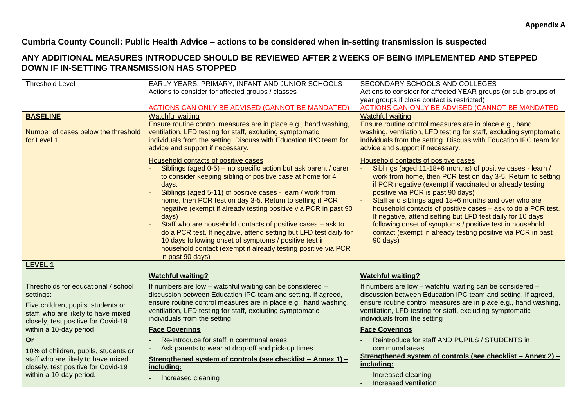#### **Cumbria County Council: Public Health Advice – actions to be considered when in-setting transmission is suspected**

## **ANY ADDITIONAL MEASURES INTRODUCED SHOULD BE REVIEWED AFTER 2 WEEKS OF BEING IMPLEMENTED AND STEPPED DOWN IF IN-SETTING TRANSMISSION HAS STOPPED**

| <b>Threshold Level</b>               | EARLY YEARS, PRIMARY, INFANT AND JUNIOR SCHOOLS                                                         | SECONDARY SCHOOLS AND COLLEGES                                                                                         |
|--------------------------------------|---------------------------------------------------------------------------------------------------------|------------------------------------------------------------------------------------------------------------------------|
|                                      | Actions to consider for affected groups / classes                                                       | Actions to consider for affected YEAR groups (or sub-groups of                                                         |
|                                      |                                                                                                         | year groups if close contact is restricted)                                                                            |
|                                      | ACTIONS CAN ONLY BE ADVISED (CANNOT BE MANDATED)                                                        | ACTIONS CAN ONLY BE ADVISED (CANNOT BE MANDATED                                                                        |
| <b>BASELINE</b>                      | <b>Watchful waiting</b>                                                                                 | <b>Watchful waiting</b>                                                                                                |
|                                      | Ensure routine control measures are in place e.g., hand washing,                                        | Ensure routine control measures are in place e.g., hand                                                                |
| Number of cases below the threshold  | ventilation, LFD testing for staff, excluding symptomatic                                               | washing, ventilation, LFD testing for staff, excluding symptomatic                                                     |
| for Level 1                          | individuals from the setting. Discuss with Education IPC team for                                       | individuals from the setting. Discuss with Education IPC team for                                                      |
|                                      | advice and support if necessary.                                                                        | advice and support if necessary.                                                                                       |
|                                      | Household contacts of positive cases<br>Siblings (aged 0-5) - no specific action but ask parent / carer | Household contacts of positive cases<br>Siblings (aged 11-18+6 months) of positive cases - learn /                     |
|                                      | to consider keeping sibling of positive case at home for 4                                              | work from home, then PCR test on day 3-5. Return to setting                                                            |
|                                      | days.                                                                                                   | if PCR negative (exempt if vaccinated or already testing                                                               |
|                                      | Siblings (aged 5-11) of positive cases - learn / work from                                              | positive via PCR is past 90 days)                                                                                      |
|                                      | home, then PCR test on day 3-5. Return to setting if PCR                                                | Staff and siblings aged 18+6 months and over who are                                                                   |
|                                      | negative (exempt if already testing positive via PCR in past 90                                         | household contacts of positive cases - ask to do a PCR test.                                                           |
|                                      | days)<br>Staff who are household contacts of positive cases - ask to                                    | If negative, attend setting but LFD test daily for 10 days<br>following onset of symptoms / positive test in household |
|                                      | do a PCR test. If negative, attend setting but LFD test daily for                                       | contact (exempt in already testing positive via PCR in past                                                            |
|                                      | 10 days following onset of symptoms / positive test in                                                  | 90 days)                                                                                                               |
|                                      | household contact (exempt if already testing positive via PCR                                           |                                                                                                                        |
|                                      | in past 90 days)                                                                                        |                                                                                                                        |
| <b>LEVEL 1</b>                       |                                                                                                         |                                                                                                                        |
|                                      | <b>Watchful waiting?</b>                                                                                | <b>Watchful waiting?</b>                                                                                               |
| Thresholds for educational / school  | If numbers are low - watchful waiting can be considered -                                               | If numbers are low - watchful waiting can be considered -                                                              |
| settings:                            | discussion between Education IPC team and setting. If agreed,                                           | discussion between Education IPC team and setting. If agreed,                                                          |
| Five children, pupils, students or   | ensure routine control measures are in place e.g., hand washing,                                        | ensure routine control measures are in place e.g., hand washing,                                                       |
| staff, who are likely to have mixed  | ventilation, LFD testing for staff, excluding symptomatic<br>individuals from the setting               | ventilation, LFD testing for staff, excluding symptomatic<br>individuals from the setting                              |
| closely, test positive for Covid-19  |                                                                                                         |                                                                                                                        |
| within a 10-day period               | <b>Face Coverings</b>                                                                                   | <b>Face Coverings</b>                                                                                                  |
| <b>Or</b>                            | Re-introduce for staff in communal areas                                                                | Reintroduce for staff AND PUPILS / STUDENTS in                                                                         |
| 10% of children, pupils, students or | Ask parents to wear at drop-off and pick-up times                                                       | communal areas                                                                                                         |
| staff who are likely to have mixed   | Strengthened system of controls (see checklist - Annex 1) -                                             | Strengthened system of controls (see checklist - Annex 2) -<br>including:                                              |
| closely, test positive for Covid-19  | including:                                                                                              |                                                                                                                        |
| within a 10-day period.              | Increased cleaning                                                                                      | Increased cleaning<br>Increased ventilation                                                                            |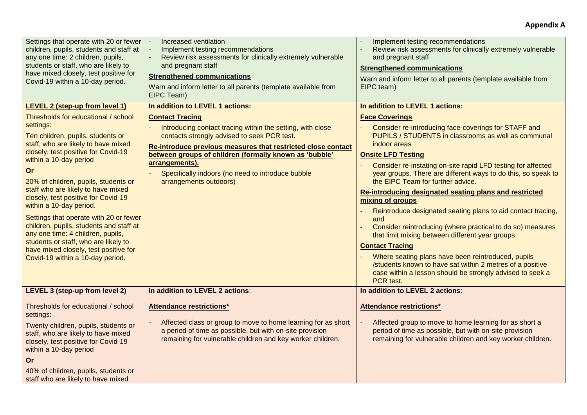#### **Appendix A**

| Settings that operate with 20 or fewer<br>children, pupils, students and staff at<br>any one time: 2 children, pupils,<br>students or staff, who are likely to<br>have mixed closely, test positive for<br>Covid-19 within a 10-day period.                                                                                                                                                                                                                                                                                                                 | Increased ventilation<br>Implement testing recommendations<br>Review risk assessments for clinically extremely vulnerable<br>and pregnant staff<br><b>Strengthened communications</b><br>Warn and inform letter to all parents (template available from<br>EIPC Team)                                                                                          | Implement testing recommendations<br>Review risk assessments for clinically extremely vulnerable<br>and pregnant staff<br><b>Strengthened communications</b><br>Warn and inform letter to all parents (template available from<br>EIPC team)                                                                                                                                                                                                                                                                                                                                                                                                                                                                                                                                                                                                          |
|-------------------------------------------------------------------------------------------------------------------------------------------------------------------------------------------------------------------------------------------------------------------------------------------------------------------------------------------------------------------------------------------------------------------------------------------------------------------------------------------------------------------------------------------------------------|----------------------------------------------------------------------------------------------------------------------------------------------------------------------------------------------------------------------------------------------------------------------------------------------------------------------------------------------------------------|-------------------------------------------------------------------------------------------------------------------------------------------------------------------------------------------------------------------------------------------------------------------------------------------------------------------------------------------------------------------------------------------------------------------------------------------------------------------------------------------------------------------------------------------------------------------------------------------------------------------------------------------------------------------------------------------------------------------------------------------------------------------------------------------------------------------------------------------------------|
| <b>LEVEL 2 (step-up from level 1)</b><br>Thresholds for educational / school                                                                                                                                                                                                                                                                                                                                                                                                                                                                                | In addition to LEVEL 1 actions:                                                                                                                                                                                                                                                                                                                                | In addition to LEVEL 1 actions:                                                                                                                                                                                                                                                                                                                                                                                                                                                                                                                                                                                                                                                                                                                                                                                                                       |
| settings:<br>Ten children, pupils, students or<br>staff, who are likely to have mixed<br>closely, test positive for Covid-19<br>within a 10-day period<br>Or<br>20% of children, pupils, students or<br>staff who are likely to have mixed<br>closely, test positive for Covid-19<br>within a 10-day period.<br>Settings that operate with 20 or fewer<br>children, pupils, students and staff at<br>any one time: 4 children, pupils,<br>students or staff, who are likely to<br>have mixed closely, test positive for<br>Covid-19 within a 10-day period. | <b>Contact Tracing</b><br>Introducing contact tracing within the setting, with close<br>contacts strongly advised to seek PCR test.<br>Re-introduce previous measures that restricted close contact<br>between groups of children (formally known as 'bubble'<br>arrangements).<br>Specifically indoors (no need to introduce bubble<br>arrangements outdoors) | <b>Face Coverings</b><br>Consider re-introducing face-coverings for STAFF and<br>PUPILS / STUDENTS in classrooms as well as communal<br>indoor areas<br><b>Onsite LFD Testing</b><br>Consider re-instating on-site rapid LFD testing for affected<br>year groups. There are different ways to do this, so speak to<br>the EIPC Team for further advice.<br>Re-introducing designated seating plans and restricted<br>mixing of groups<br>Reintroduce designated seating plans to aid contact tracing,<br>and<br>Consider reintroducing (where practical to do so) measures<br>that limit mixing between different year groups.<br><b>Contact Tracing</b><br>Where seating plans have been reintroduced, pupils<br>/students known to have sat within 2 metres of a positive<br>case within a lesson should be strongly advised to seek a<br>PCR test. |
| LEVEL 3 (step-up from level 2)                                                                                                                                                                                                                                                                                                                                                                                                                                                                                                                              | In addition to LEVEL 2 actions:                                                                                                                                                                                                                                                                                                                                | In addition to LEVEL 2 actions:                                                                                                                                                                                                                                                                                                                                                                                                                                                                                                                                                                                                                                                                                                                                                                                                                       |
| Thresholds for educational / school<br>settings:<br>Twenty children, pupils, students or<br>staff, who are likely to have mixed<br>closely, test positive for Covid-19<br>within a 10-day period<br>Or                                                                                                                                                                                                                                                                                                                                                      | <b>Attendance restrictions*</b><br>Affected class or group to move to home learning for as short<br>a period of time as possible, but with on-site provision<br>remaining for vulnerable children and key worker children.                                                                                                                                     | <b>Attendance restrictions*</b><br>Affected group to move to home learning for as short a<br>period of time as possible, but with on-site provision<br>remaining for vulnerable children and key worker children.                                                                                                                                                                                                                                                                                                                                                                                                                                                                                                                                                                                                                                     |
| 40% of children, pupils, students or<br>staff who are likely to have mixed                                                                                                                                                                                                                                                                                                                                                                                                                                                                                  |                                                                                                                                                                                                                                                                                                                                                                |                                                                                                                                                                                                                                                                                                                                                                                                                                                                                                                                                                                                                                                                                                                                                                                                                                                       |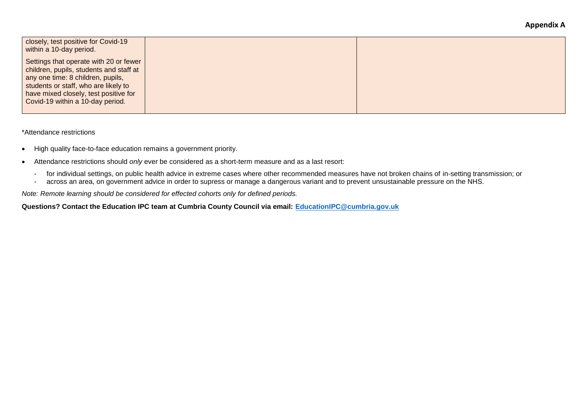| closely, test positive for Covid-19<br>within a 10-day period.                                                                                                                                                                              |  |
|---------------------------------------------------------------------------------------------------------------------------------------------------------------------------------------------------------------------------------------------|--|
| Settings that operate with 20 or fewer<br>children, pupils, students and staff at<br>any one time: 8 children, pupils,<br>students or staff, who are likely to<br>have mixed closely, test positive for<br>Covid-19 within a 10-day period. |  |

\*Attendance restrictions

- High quality face-to-face education remains a government priority.
- Attendance restrictions should *only* ever be considered as a short-term measure and as a last resort:
	- for individual settings, on public health advice in extreme cases where other recommended measures have not broken chains of in-setting transmission; or
	- across an area, on government advice in order to supress or manage a dangerous variant and to prevent unsustainable pressure on the NHS.

*Note: Remote learning should be considered for effected cohorts only for defined periods.*

**Questions? Contact the Education IPC team at Cumbria County Council via email: [EducationIPC@cumbria.gov.uk](mailto:EducationIPC@cumbria.gov.uk)**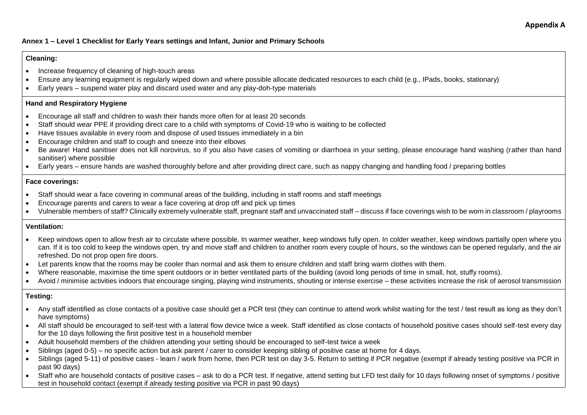#### **Annex 1 – Level 1 Checklist for Early Years settings and Infant, Junior and Primary Schools**

#### **Cleaning:**

- Increase frequency of cleaning of high-touch areas
- Ensure any learning equipment is regularly wiped down and where possible allocate dedicated resources to each child (e.g., IPads, books, stationary)
- Early years suspend water play and discard used water and any play-doh-type materials

#### **Hand and Respiratory Hygiene**

- Encourage all staff and children to wash their hands more often for at least 20 seconds
- Staff should wear PPE if providing direct care to a child with symptoms of Covid-19 who is waiting to be collected
- Have tissues available in every room and dispose of used tissues immediately in a bin
- Encourage children and staff to cough and sneeze into their elbows
- Be aware! Hand sanitiser does not kill norovirus, so if you also have cases of vomiting or diarrhoea in your setting, please encourage hand washing (rather than hand sanitiser) where possible
- Early years ensure hands are washed thoroughly before and after providing direct care, such as nappy changing and handling food / preparing bottles

#### **Face coverings:**

- Staff should wear a face covering in communal areas of the building, including in staff rooms and staff meetings
- Encourage parents and carers to wear a face covering at drop off and pick up times
- Vulnerable members of staff? Clinically extremely vulnerable staff, pregnant staff and unvaccinated staff discuss if face coverings wish to be worn in classroom / playrooms

#### **Ventilation:**

- Keep windows open to allow fresh air to circulate where possible. In warmer weather, keep windows fully open. In colder weather, keep windows partially open where you can. If it is too cold to keep the windows open, try and move staff and children to another room every couple of hours, so the windows can be opened regularly, and the air refreshed. Do not prop open fire doors.
- Let parents know that the rooms may be cooler than normal and ask them to ensure children and staff bring warm clothes with them.
- Where reasonable, maximise the time spent outdoors or in better ventilated parts of the building (avoid long periods of time in small, hot, stuffy rooms).
- Avoid / minimise activities indoors that encourage singing, playing wind instruments, shouting or intense exercise these activities increase the risk of aerosol transmission

#### **Testing:**

- Any staff identified as close contacts of a positive case should get a PCR test (they can continue to attend work whilst waiting for the test / test result as long as they don't have symptoms)
- All staff should be encouraged to self-test with a lateral flow device twice a week. Staff identified as close contacts of household positive cases should self-test every day for the 10 days following the first positive test in a household member
- Adult household members of the children attending your setting should be encouraged to self-test twice a week
- Siblings (aged 0-5) no specific action but ask parent / carer to consider keeping sibling of positive case at home for 4 days.
- Siblings (aged 5-11) of positive cases learn / work from home, then PCR test on day 3-5. Return to setting if PCR negative (exempt if already testing positive via PCR in past 90 days)
- Staff who are household contacts of positive cases ask to do a PCR test. If negative, attend setting but LFD test daily for 10 days following onset of symptoms / positive test in household contact (exempt if already testing positive via PCR in past 90 days)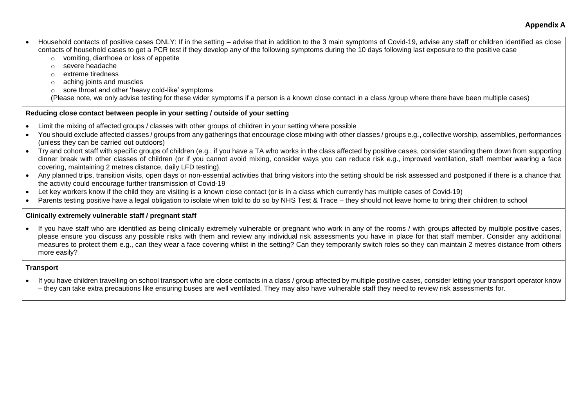- Household contacts of positive cases ONLY: If in the setting advise that in addition to the 3 main symptoms of Covid-19, advise any staff or children identified as close contacts of household cases to get a PCR test if they develop any of the following symptoms during the 10 days following last exposure to the positive case
	- o vomiting, diarrhoea or loss of appetite
	- o severe headache
	- o extreme tiredness
	- o aching joints and muscles
	- o sore throat and other 'heavy cold-like' symptoms

(Please note, we only advise testing for these wider symptoms if a person is a known close contact in a class /group where there have been multiple cases)

#### **Reducing close contact between people in your setting / outside of your setting**

- Limit the mixing of affected groups / classes with other groups of children in your setting where possible
- You should exclude affected classes / groups from any gatherings that encourage close mixing with other classes / groups e.g., collective worship, assemblies, performances (unless they can be carried out outdoors)
- Try and cohort staff with specific groups of children (e.g., if you have a TA who works in the class affected by positive cases, consider standing them down from supporting dinner break with other classes of children (or if you cannot avoid mixing, consider ways you can reduce risk e.g., improved ventilation, staff member wearing a face covering, maintaining 2 metres distance, daily LFD testing).
- Any planned trips, transition visits, open days or non-essential activities that bring visitors into the setting should be risk assessed and postponed if there is a chance that the activity could encourage further transmission of Covid-19
- Let key workers know if the child they are visiting is a known close contact (or is in a class which currently has multiple cases of Covid-19)
- Parents testing positive have a legal obligation to isolate when told to do so by NHS Test & Trace they should not leave home to bring their children to school

#### **Clinically extremely vulnerable staff / pregnant staff**

• If you have staff who are identified as being clinically extremely vulnerable or pregnant who work in any of the rooms / with groups affected by multiple positive cases, please ensure you discuss any possible risks with them and review any individual risk assessments you have in place for that staff member. Consider any additional measures to protect them e.g., can they wear a face covering whilst in the setting? Can they temporarily switch roles so they can maintain 2 metres distance from others more easily?

#### **Transport**

• If you have children travelling on school transport who are close contacts in a class / group affected by multiple positive cases, consider letting your transport operator know – they can take extra precautions like ensuring buses are well ventilated. They may also have vulnerable staff they need to review risk assessments for.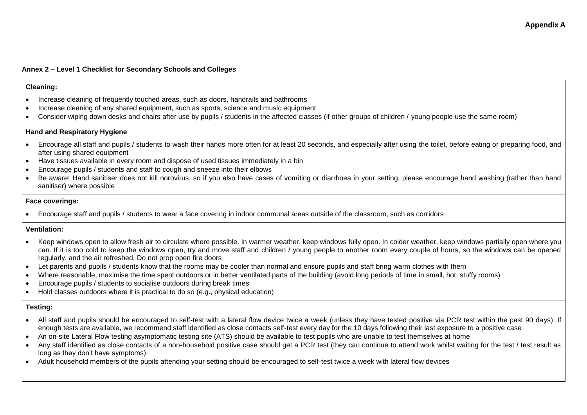#### **Annex 2 – Level 1 Checklist for Secondary Schools and Colleges**

#### **Cleaning:**

- Increase cleaning of frequently touched areas, such as doors, handrails and bathrooms
- Increase cleaning of any shared equipment, such as sports, science and music equipment
- Consider wiping down desks and chairs after use by pupils / students in the affected classes (if other groups of children / young people use the same room)

#### **Hand and Respiratory Hygiene**

- Encourage all staff and pupils / students to wash their hands more often for at least 20 seconds, and especially after using the toilet, before eating or preparing food, and after using shared equipment
- Have tissues available in every room and dispose of used tissues immediately in a bin
- Encourage pupils / students and staff to cough and sneeze into their elbows
- Be aware! Hand sanitiser does not kill norovirus, so if you also have cases of vomiting or diarrhoea in your setting, please encourage hand washing (rather than hand sanitiser) where possible

#### **Face coverings:**

• Encourage staff and pupils / students to wear a face covering in indoor communal areas outside of the classroom, such as corridors

#### **Ventilation:**

- Keep windows open to allow fresh air to circulate where possible. In warmer weather, keep windows fully open. In colder weather, keep windows partially open where you can. If it is too cold to keep the windows open, try and move staff and children / young people to another room every couple of hours, so the windows can be opened regularly, and the air refreshed. Do not prop open fire doors
- Let parents and pupils / students know that the rooms may be cooler than normal and ensure pupils and staff bring warm clothes with them
- Where reasonable, maximise the time spent outdoors or in better ventilated parts of the building (avoid long periods of time in small, hot, stuffy rooms)
- Encourage pupils / students to socialise outdoors during break times
- Hold classes outdoors where it is practical to do so (e.g., physical education)

#### **Testing:**

- All staff and pupils should be encouraged to self-test with a lateral flow device twice a week (unless they have tested positive via PCR test within the past 90 days). If enough tests are available, we recommend staff identified as close contacts self-test every day for the 10 days following their last exposure to a positive case
- An on-site Lateral Flow testing asymptomatic testing site (ATS) should be available to test pupils who are unable to test themselves at home
- Any staff identified as close contacts of a non-household positive case should get a PCR test (they can continue to attend work whilst waiting for the test / test result as long as they don't have symptoms)
- Adult household members of the pupils attending your setting should be encouraged to self-test twice a week with lateral flow devices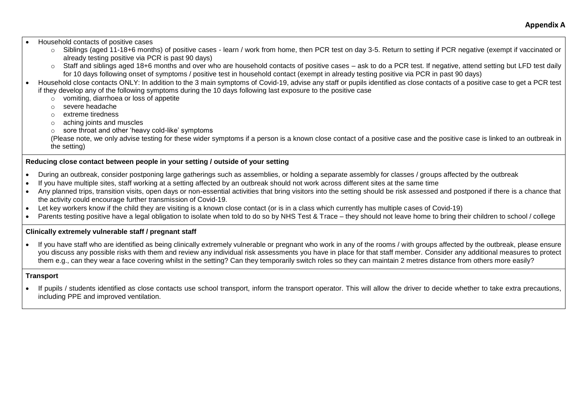**Appendix A**

• Household contacts of positive cases

- o Siblings (aged 11-18+6 months) of positive cases learn / work from home, then PCR test on day 3-5. Return to setting if PCR negative (exempt if vaccinated or already testing positive via PCR is past 90 days)
- o Staff and siblings aged 18+6 months and over who are household contacts of positive cases ask to do a PCR test. If negative, attend setting but LFD test daily for 10 days following onset of symptoms / positive test in household contact (exempt in already testing positive via PCR in past 90 days)
- Household close contacts ONLY: In addition to the 3 main symptoms of Covid-19, advise any staff or pupils identified as close contacts of a positive case to get a PCR test if they develop any of the following symptoms during the 10 days following last exposure to the positive case
	- $\circ$  vomiting, diarrhoea or loss of appetite
	- o severe headache
	- o extreme tiredness
	- o aching joints and muscles
	- o sore throat and other 'heavy cold-like' symptoms

(Please note, we only advise testing for these wider symptoms if a person is a known close contact of a positive case and the positive case is linked to an outbreak in the setting)

#### **Reducing close contact between people in your setting / outside of your setting**

- During an outbreak, consider postponing large gatherings such as assemblies, or holding a separate assembly for classes / groups affected by the outbreak
- If you have multiple sites, staff working at a setting affected by an outbreak should not work across different sites at the same time
- Anv planned trips, transition visits, open days or non-essential activities that bring visitors into the setting should be risk assessed and postponed if there is a chance that the activity could encourage further transmission of Covid-19.
- Let key workers know if the child they are visiting is a known close contact (or is in a class which currently has multiple cases of Covid-19)
- Parents testing positive have a legal obligation to isolate when told to do so by NHS Test & Trace they should not leave home to bring their children to school / college

#### **Clinically extremely vulnerable staff / pregnant staff**

• If you have staff who are identified as being clinically extremely vulnerable or pregnant who work in any of the rooms / with groups affected by the outbreak, please ensure you discuss any possible risks with them and review any individual risk assessments you have in place for that staff member. Consider any additional measures to protect them e.g., can they wear a face covering whilst in the setting? Can they temporarily switch roles so they can maintain 2 metres distance from others more easily?

#### **Transport**

• If pupils / students identified as close contacts use school transport, inform the transport operator. This will allow the driver to decide whether to take extra precautions, including PPE and improved ventilation.